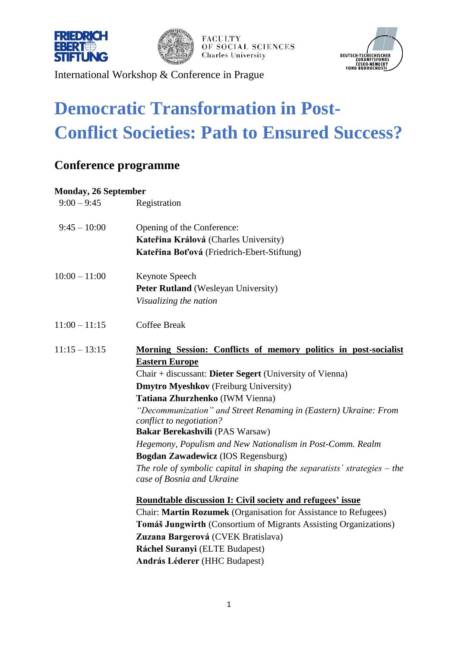



**FACULTY** OF SOCIAL SCIENCES **Charles University** 



International Workshop & Conference in Prague

## **Democratic Transformation in Post-Conflict Societies: Path to Ensured Success?**

### **Conference programme**

#### **Monday, 26 September**

| $9:00 - 9:45$   | Registration                                                                                              |
|-----------------|-----------------------------------------------------------------------------------------------------------|
| $9:45 - 10:00$  | Opening of the Conference:                                                                                |
|                 | Kateřina Králová (Charles University)                                                                     |
|                 | Kateřina Boťová (Friedrich-Ebert-Stiftung)                                                                |
| $10:00 - 11:00$ | Keynote Speech                                                                                            |
|                 | Peter Rutland (Wesleyan University)                                                                       |
|                 | Visualizing the nation                                                                                    |
| $11:00 - 11:15$ | <b>Coffee Break</b>                                                                                       |
| $11:15 - 13:15$ | Morning Session: Conflicts of memory politics in post-socialist                                           |
|                 | <b>Eastern Europe</b>                                                                                     |
|                 | Chair + discussant: Dieter Segert (University of Vienna)                                                  |
|                 | <b>Dmytro Myeshkov</b> (Freiburg University)                                                              |
|                 | Tatiana Zhurzhenko (IWM Vienna)                                                                           |
|                 | "Decommunization" and Street Renaming in (Eastern) Ukraine: From<br>conflict to negotiation?              |
|                 | Bakar Berekashvili (PAS Warsaw)                                                                           |
|                 | Hegemony, Populism and New Nationalism in Post-Comm. Realm                                                |
|                 | Bogdan Zawadewicz (IOS Regensburg)                                                                        |
|                 | The role of symbolic capital in shaping the separatists' strategies $-$ the<br>case of Bosnia and Ukraine |
|                 | <b>Roundtable discussion I: Civil society and refugees' issue</b>                                         |
|                 | Chair: Martin Rozumek (Organisation for Assistance to Refugees)                                           |
|                 | <b>Tomáš Jungwirth (Consortium of Migrants Assisting Organizations)</b>                                   |
|                 | Zuzana Bargerová (CVEK Bratislava)                                                                        |
|                 | Ráchel Suranyi (ELTE Budapest)                                                                            |
|                 | <b>András Léderer</b> (HHC Budapest)                                                                      |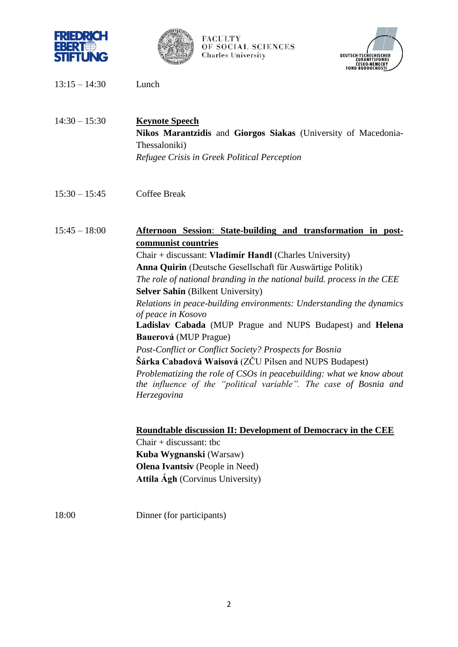



#### **FACULTY** OF SOCIAL SCIENCES **Charles University**



- 13:15 14:30 Lunch
- 14:30 15:30 **Keynote Speech Nikos Marantzidis** and **Giorgos Siakas** (University of Macedonia-Thessaloniki) *Refugee Crisis in Greek Political Perception*
- 15:30 15:45 Coffee Break

#### 15:45 – 18:00 **Afternoon Session**: **State-building and transformation in postcommunist countries**

Chair + discussant: **Vladimír Handl** (Charles University) **Anna Quirin** (Deutsche Gesellschaft für Auswärtige Politik) *The role of national branding in the national build. process in the CEE* **Selver Sahin** (Bilkent University) *Relations in peace-building environments: Understanding the dynamics of peace in Kosovo* **Ladislav Cabada** (MUP Prague and NUPS Budapest) and **Helena Bauerová** (MUP Prague) *Post-Conflict or Conflict Society? Prospects for Bosnia* **Šárka Cabadová Waisová** (ZČU Pilsen and NUPS Budapest) *Problematizing the role of CSOs in peacebuilding: what we know about the influence of the "political variable". The case of Bosnia and Herzegovina*

**Roundtable discussion II: Development of Democracy in the CEE** Chair + discussant: tbc

**Kuba Wygnanski** (Warsaw) **Olena Ivantsiv** (People in Need) **Attila Ágh** (Corvinus University)

18:00 Dinner (for participants)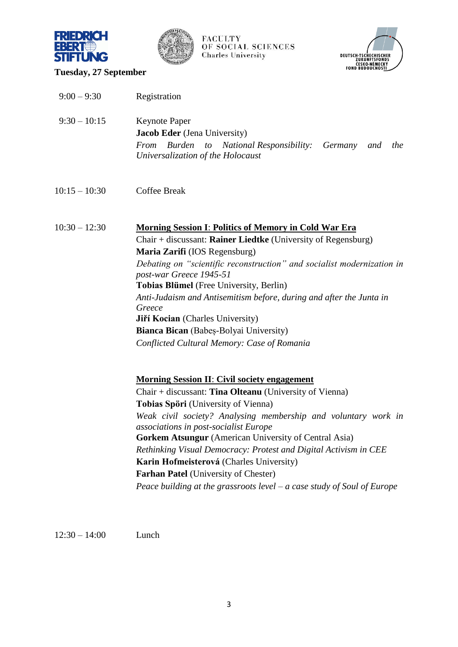



# FACULTY<br>OF SOCIAL SCIENCES<br>Charles University



#### **Tuesday, 27 September**

| $9:00 - 9:30$   | Registration                                                                                                                                                                                                                                                                                                                                                                                                                                                                                                                                                                              |
|-----------------|-------------------------------------------------------------------------------------------------------------------------------------------------------------------------------------------------------------------------------------------------------------------------------------------------------------------------------------------------------------------------------------------------------------------------------------------------------------------------------------------------------------------------------------------------------------------------------------------|
| $9:30 - 10:15$  | Keynote Paper<br>Jacob Eder (Jena University)<br><b>Burden</b><br>From<br><b>National Responsibility:</b> Germany<br>to<br>the<br>and<br>Universalization of the Holocaust                                                                                                                                                                                                                                                                                                                                                                                                                |
| $10:15 - 10:30$ | Coffee Break                                                                                                                                                                                                                                                                                                                                                                                                                                                                                                                                                                              |
| $10:30 - 12:30$ | <b>Morning Session I: Politics of Memory in Cold War Era</b><br>Chair + discussant: Rainer Liedtke (University of Regensburg)<br>Maria Zarifi (IOS Regensburg)<br>Debating on "scientific reconstruction" and socialist modernization in<br>post-war Greece 1945-51<br>Tobias Blümel (Free University, Berlin)<br>Anti-Judaism and Antisemitism before, during and after the Junta in<br>Greece<br>Jiří Kocian (Charles University)<br>Bianca Bican (Babeș-Bolyai University)<br>Conflicted Cultural Memory: Case of Romania                                                              |
|                 | <b>Morning Session II: Civil society engagement</b><br>Chair + discussant: Tina Olteanu (University of Vienna)<br><b>Tobias Spöri</b> (University of Vienna)<br>Weak civil society? Analysing membership and voluntary work in<br><i>associations in post-socialist Europe</i><br><b>Gorkem Atsungur</b> (American University of Central Asia)<br>Rethinking Visual Democracy: Protest and Digital Activism in CEE<br>Karin Hofmeisterová (Charles University)<br><b>Farhan Patel</b> (University of Chester)<br>Peace building at the grassroots level $-a$ case study of Soul of Europe |

12:30 – 14:00 Lunch